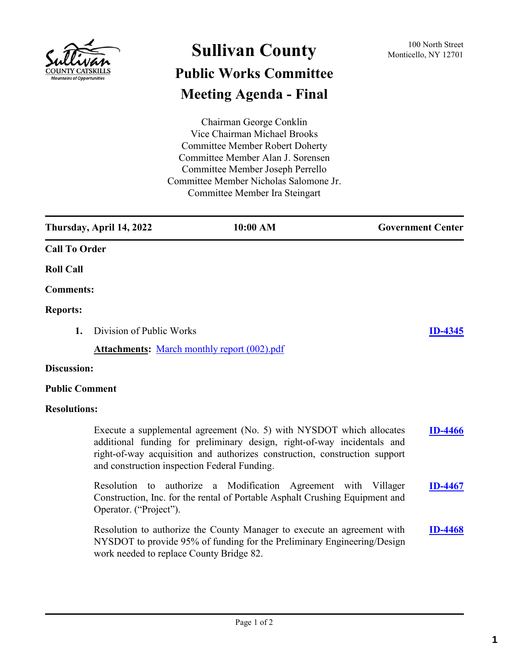

# **Sullivan County** 100 North Street 100 North Street **Public Works Committee Meeting Agenda - Final**

Chairman George Conklin Vice Chairman Michael Brooks Committee Member Robert Doherty Committee Member Alan J. Sorensen Committee Member Joseph Perrello Committee Member Nicholas Salomone Jr. Committee Member Ira Steingart

**Thursday, April 14, 2022 10:00 AM Government Center Call To Order Roll Call Comments: Reports: 1.** Division of Public Works **[ID-4345](http://sullivancountyny.legistar.com/gateway.aspx?m=l&id=/matter.aspx?key=1371) Attachments:** [March monthly report \(002\).pdf](http://sullivancountyny.legistar.com/gateway.aspx?M=F&ID=bed0bffc-a57f-4fbc-ae19-7337775c25d9.pdf)

#### **Discussion:**

#### **Public Comment**

#### **Resolutions:**

Execute a supplemental agreement (No. 5) with NYSDOT which allocates additional funding for preliminary design, right-of-way incidentals and right-of-way acquisition and authorizes construction, construction support and construction inspection Federal Funding. **[ID-4466](http://sullivancountyny.legistar.com/gateway.aspx?m=l&id=/matter.aspx?key=1492)** Resolution to authorize a Modification Agreement with Villager Construction, Inc. for the rental of Portable Asphalt Crushing Equipment and Operator. ("Project"). **[ID-4467](http://sullivancountyny.legistar.com/gateway.aspx?m=l&id=/matter.aspx?key=1493)** Resolution to authorize the County Manager to execute an agreement with **[ID-4468](http://sullivancountyny.legistar.com/gateway.aspx?m=l&id=/matter.aspx?key=1494)**

NYSDOT to provide 95% of funding for the Preliminary Engineering/Design work needed to replace County Bridge 82.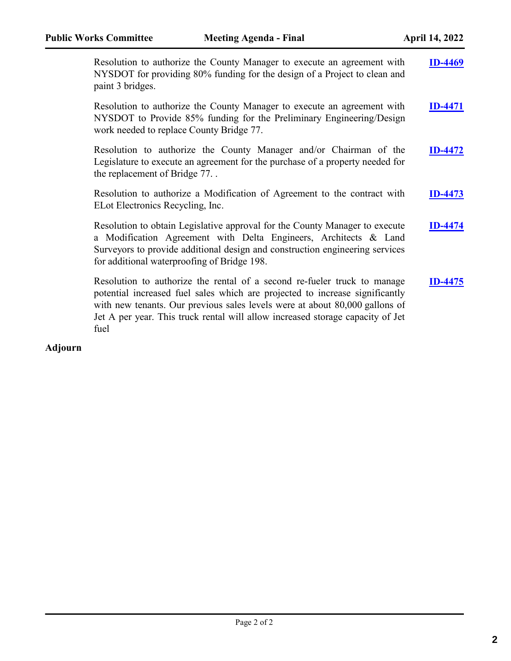| Resolution to authorize the County Manager to execute an agreement with<br>NYSDOT for providing 80% funding for the design of a Project to clean and<br>paint 3 bridges.                                                                                                                                                          | <b>ID-4469</b> |
|-----------------------------------------------------------------------------------------------------------------------------------------------------------------------------------------------------------------------------------------------------------------------------------------------------------------------------------|----------------|
| Resolution to authorize the County Manager to execute an agreement with<br>NYSDOT to Provide 85% funding for the Preliminary Engineering/Design<br>work needed to replace County Bridge 77.                                                                                                                                       | <b>ID-4471</b> |
| Resolution to authorize the County Manager and/or Chairman of the<br>Legislature to execute an agreement for the purchase of a property needed for<br>the replacement of Bridge 77                                                                                                                                                | <b>ID-4472</b> |
| Resolution to authorize a Modification of Agreement to the contract with<br>ELot Electronics Recycling, Inc.                                                                                                                                                                                                                      | <b>ID-4473</b> |
| Resolution to obtain Legislative approval for the County Manager to execute<br>a Modification Agreement with Delta Engineers, Architects & Land<br>Surveyors to provide additional design and construction engineering services<br>for additional waterproofing of Bridge 198.                                                    | <b>ID-4474</b> |
| Resolution to authorize the rental of a second re-fueler truck to manage<br>potential increased fuel sales which are projected to increase significantly<br>with new tenants. Our previous sales levels were at about 80,000 gallons of<br>Jet A per year. This truck rental will allow increased storage capacity of Jet<br>fuel | <b>D-4475</b>  |

# **Adjourn**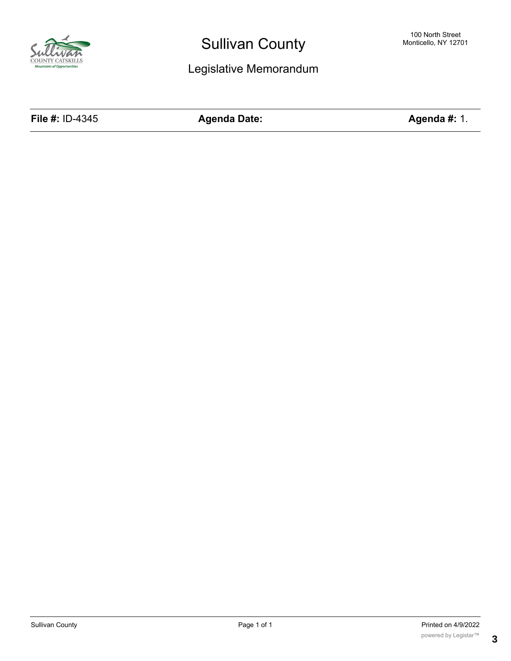

# Legislative Memorandum

**File #:** ID-4345 **Agenda Date: Agenda #:** 1.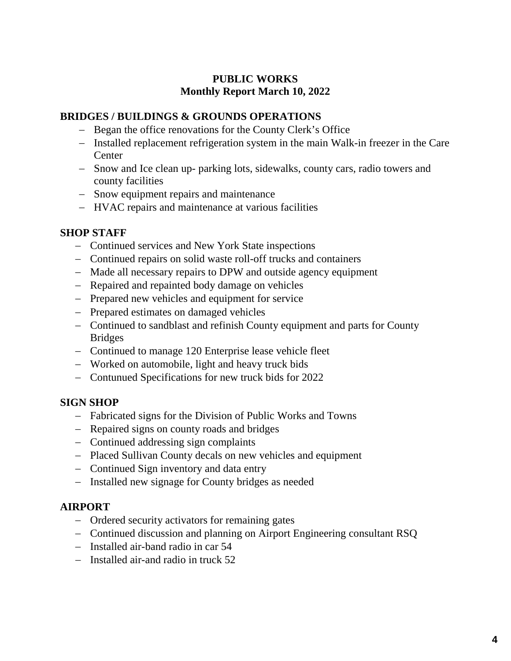# **PUBLIC WORKS Monthly Report March 10, 2022**

## **BRIDGES / BUILDINGS & GROUNDS OPERATIONS**

- − Began the office renovations for the County Clerk's Office
- − Installed replacement refrigeration system in the main Walk-in freezer in the Care Center
- − Snow and Ice clean up- parking lots, sidewalks, county cars, radio towers and county facilities
- − Snow equipment repairs and maintenance
- − HVAC repairs and maintenance at various facilities

## **SHOP STAFF**

- − Continued services and New York State inspections
- − Continued repairs on solid waste roll-off trucks and containers
- − Made all necessary repairs to DPW and outside agency equipment
- − Repaired and repainted body damage on vehicles
- − Prepared new vehicles and equipment for service
- − Prepared estimates on damaged vehicles
- − Continued to sandblast and refinish County equipment and parts for County Bridges
- − Continued to manage 120 Enterprise lease vehicle fleet
- − Worked on automobile, light and heavy truck bids
- − Contunued Specifications for new truck bids for 2022

## **SIGN SHOP**

- − Fabricated signs for the Division of Public Works and Towns
- − Repaired signs on county roads and bridges
- − Continued addressing sign complaints
- − Placed Sullivan County decals on new vehicles and equipment
- − Continued Sign inventory and data entry
- − Installed new signage for County bridges as needed

## **AIRPORT**

- − Ordered security activators for remaining gates
- − Continued discussion and planning on Airport Engineering consultant RSQ
- − Installed air-band radio in car 54
- − Installed air-and radio in truck 52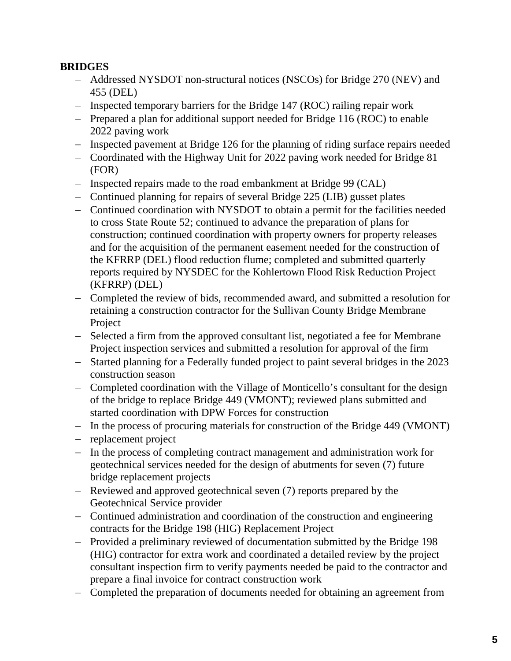# **BRIDGES**

- − Addressed NYSDOT non-structural notices (NSCOs) for Bridge 270 (NEV) and 455 (DEL)
- − Inspected temporary barriers for the Bridge 147 (ROC) railing repair work
- − Prepared a plan for additional support needed for Bridge 116 (ROC) to enable 2022 paving work
- − Inspected pavement at Bridge 126 for the planning of riding surface repairs needed
- − Coordinated with the Highway Unit for 2022 paving work needed for Bridge 81 (FOR)
- − Inspected repairs made to the road embankment at Bridge 99 (CAL)
- − Continued planning for repairs of several Bridge 225 (LIB) gusset plates
- − Continued coordination with NYSDOT to obtain a permit for the facilities needed to cross State Route 52; continued to advance the preparation of plans for construction; continued coordination with property owners for property releases and for the acquisition of the permanent easement needed for the construction of the KFRRP (DEL) flood reduction flume; completed and submitted quarterly reports required by NYSDEC for the Kohlertown Flood Risk Reduction Project (KFRRP) (DEL)
- − Completed the review of bids, recommended award, and submitted a resolution for retaining a construction contractor for the Sullivan County Bridge Membrane Project
- − Selected a firm from the approved consultant list, negotiated a fee for Membrane Project inspection services and submitted a resolution for approval of the firm
- − Started planning for a Federally funded project to paint several bridges in the 2023 construction season
- − Completed coordination with the Village of Monticello's consultant for the design of the bridge to replace Bridge 449 (VMONT); reviewed plans submitted and started coordination with DPW Forces for construction
- − In the process of procuring materials for construction of the Bridge 449 (VMONT)
- − replacement project
- − In the process of completing contract management and administration work for geotechnical services needed for the design of abutments for seven (7) future bridge replacement projects
- − Reviewed and approved geotechnical seven (7) reports prepared by the Geotechnical Service provider
- − Continued administration and coordination of the construction and engineering contracts for the Bridge 198 (HIG) Replacement Project
- − Provided a preliminary reviewed of documentation submitted by the Bridge 198 (HIG) contractor for extra work and coordinated a detailed review by the project consultant inspection firm to verify payments needed be paid to the contractor and prepare a final invoice for contract construction work
- − Completed the preparation of documents needed for obtaining an agreement from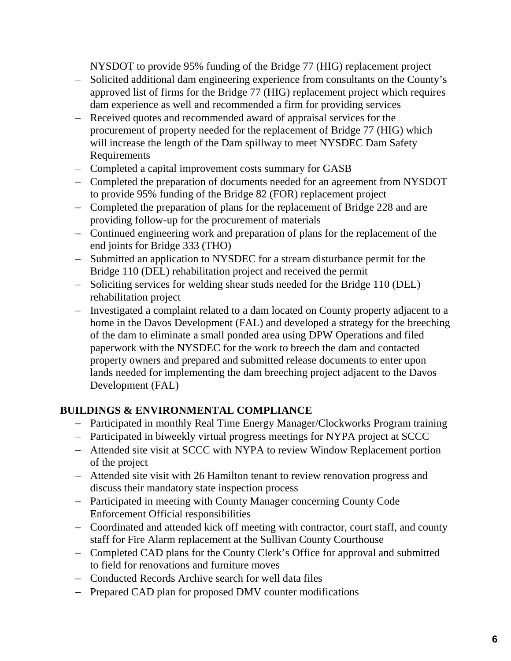NYSDOT to provide 95% funding of the Bridge 77 (HIG) replacement project

- − Solicited additional dam engineering experience from consultants on the County's approved list of firms for the Bridge 77 (HIG) replacement project which requires dam experience as well and recommended a firm for providing services
- − Received quotes and recommended award of appraisal services for the procurement of property needed for the replacement of Bridge 77 (HIG) which will increase the length of the Dam spillway to meet NYSDEC Dam Safety Requirements
- − Completed a capital improvement costs summary for GASB
- − Completed the preparation of documents needed for an agreement from NYSDOT to provide 95% funding of the Bridge 82 (FOR) replacement project
- − Completed the preparation of plans for the replacement of Bridge 228 and are providing follow-up for the procurement of materials
- − Continued engineering work and preparation of plans for the replacement of the end joints for Bridge 333 (THO)
- − Submitted an application to NYSDEC for a stream disturbance permit for the Bridge 110 (DEL) rehabilitation project and received the permit
- − Soliciting services for welding shear studs needed for the Bridge 110 (DEL) rehabilitation project
- − Investigated a complaint related to a dam located on County property adjacent to a home in the Davos Development (FAL) and developed a strategy for the breeching of the dam to eliminate a small ponded area using DPW Operations and filed paperwork with the NYSDEC for the work to breech the dam and contacted property owners and prepared and submitted release documents to enter upon lands needed for implementing the dam breeching project adjacent to the Davos Development (FAL)

# **BUILDINGS & ENVIRONMENTAL COMPLIANCE**

- − Participated in monthly Real Time Energy Manager/Clockworks Program training
- − Participated in biweekly virtual progress meetings for NYPA project at SCCC
- − Attended site visit at SCCC with NYPA to review Window Replacement portion of the project
- − Attended site visit with 26 Hamilton tenant to review renovation progress and discuss their mandatory state inspection process
- − Participated in meeting with County Manager concerning County Code Enforcement Official responsibilities
- − Coordinated and attended kick off meeting with contractor, court staff, and county staff for Fire Alarm replacement at the Sullivan County Courthouse
- − Completed CAD plans for the County Clerk's Office for approval and submitted to field for renovations and furniture moves
- − Conducted Records Archive search for well data files
- − Prepared CAD plan for proposed DMV counter modifications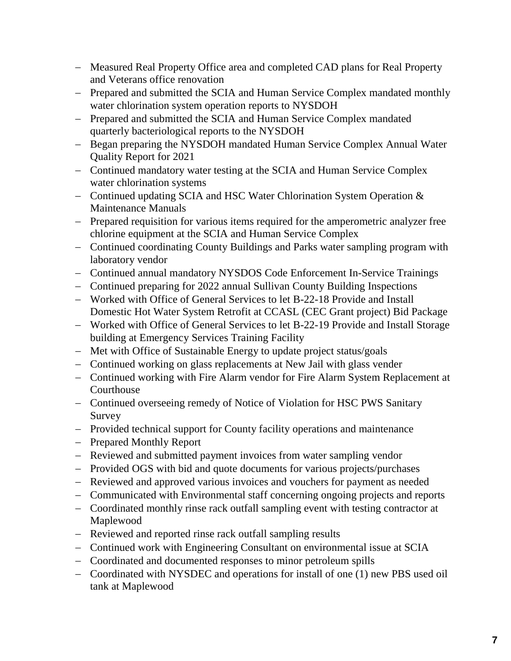- − Measured Real Property Office area and completed CAD plans for Real Property and Veterans office renovation
- − Prepared and submitted the SCIA and Human Service Complex mandated monthly water chlorination system operation reports to NYSDOH
- − Prepared and submitted the SCIA and Human Service Complex mandated quarterly bacteriological reports to the NYSDOH
- − Began preparing the NYSDOH mandated Human Service Complex Annual Water Quality Report for 2021
- − Continued mandatory water testing at the SCIA and Human Service Complex water chlorination systems
- − Continued updating SCIA and HSC Water Chlorination System Operation & Maintenance Manuals
- − Prepared requisition for various items required for the amperometric analyzer free chlorine equipment at the SCIA and Human Service Complex
- − Continued coordinating County Buildings and Parks water sampling program with laboratory vendor
- − Continued annual mandatory NYSDOS Code Enforcement In-Service Trainings
- − Continued preparing for 2022 annual Sullivan County Building Inspections
- − Worked with Office of General Services to let B-22-18 Provide and Install Domestic Hot Water System Retrofit at CCASL (CEC Grant project) Bid Package
- − Worked with Office of General Services to let B-22-19 Provide and Install Storage building at Emergency Services Training Facility
- − Met with Office of Sustainable Energy to update project status/goals
- − Continued working on glass replacements at New Jail with glass vender
- − Continued working with Fire Alarm vendor for Fire Alarm System Replacement at Courthouse
- − Continued overseeing remedy of Notice of Violation for HSC PWS Sanitary Survey
- − Provided technical support for County facility operations and maintenance
- − Prepared Monthly Report
- − Reviewed and submitted payment invoices from water sampling vendor
- − Provided OGS with bid and quote documents for various projects/purchases
- − Reviewed and approved various invoices and vouchers for payment as needed
- − Communicated with Environmental staff concerning ongoing projects and reports
- − Coordinated monthly rinse rack outfall sampling event with testing contractor at Maplewood
- − Reviewed and reported rinse rack outfall sampling results
- − Continued work with Engineering Consultant on environmental issue at SCIA
- − Coordinated and documented responses to minor petroleum spills
- − Coordinated with NYSDEC and operations for install of one (1) new PBS used oil tank at Maplewood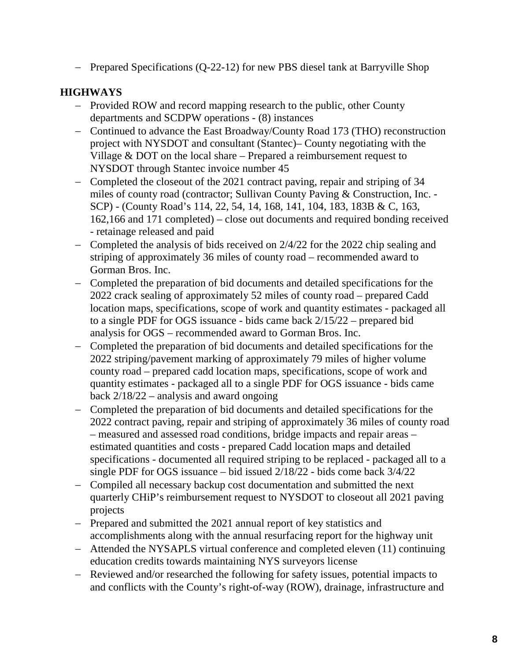− Prepared Specifications (Q-22-12) for new PBS diesel tank at Barryville Shop

# **HIGHWAYS**

- − Provided ROW and record mapping research to the public, other County departments and SCDPW operations - (8) instances
- − Continued to advance the East Broadway/County Road 173 (THO) reconstruction project with NYSDOT and consultant (Stantec)– County negotiating with the Village & DOT on the local share – Prepared a reimbursement request to NYSDOT through Stantec invoice number 45
- − Completed the closeout of the 2021 contract paving, repair and striping of 34 miles of county road (contractor; Sullivan County Paving & Construction, Inc. - SCP) - (County Road's 114, 22, 54, 14, 168, 141, 104, 183, 183B & C, 163, 162,166 and 171 completed) – close out documents and required bonding received - retainage released and paid
- − Completed the analysis of bids received on 2/4/22 for the 2022 chip sealing and striping of approximately 36 miles of county road – recommended award to Gorman Bros. Inc.
- − Completed the preparation of bid documents and detailed specifications for the 2022 crack sealing of approximately 52 miles of county road – prepared Cadd location maps, specifications, scope of work and quantity estimates - packaged all to a single PDF for OGS issuance - bids came back 2/15/22 – prepared bid analysis for OGS – recommended award to Gorman Bros. Inc.
- − Completed the preparation of bid documents and detailed specifications for the 2022 striping/pavement marking of approximately 79 miles of higher volume county road – prepared cadd location maps, specifications, scope of work and quantity estimates - packaged all to a single PDF for OGS issuance - bids came back  $2/18/22$  – analysis and award ongoing
- − Completed the preparation of bid documents and detailed specifications for the 2022 contract paving, repair and striping of approximately 36 miles of county road – measured and assessed road conditions, bridge impacts and repair areas – estimated quantities and costs - prepared Cadd location maps and detailed specifications - documented all required striping to be replaced - packaged all to a single PDF for OGS issuance – bid issued 2/18/22 - bids come back 3/4/22
- − Compiled all necessary backup cost documentation and submitted the next quarterly CHiP's reimbursement request to NYSDOT to closeout all 2021 paving projects
- − Prepared and submitted the 2021 annual report of key statistics and accomplishments along with the annual resurfacing report for the highway unit
- − Attended the NYSAPLS virtual conference and completed eleven (11) continuing education credits towards maintaining NYS surveyors license
- − Reviewed and/or researched the following for safety issues, potential impacts to and conflicts with the County's right-of-way (ROW), drainage, infrastructure and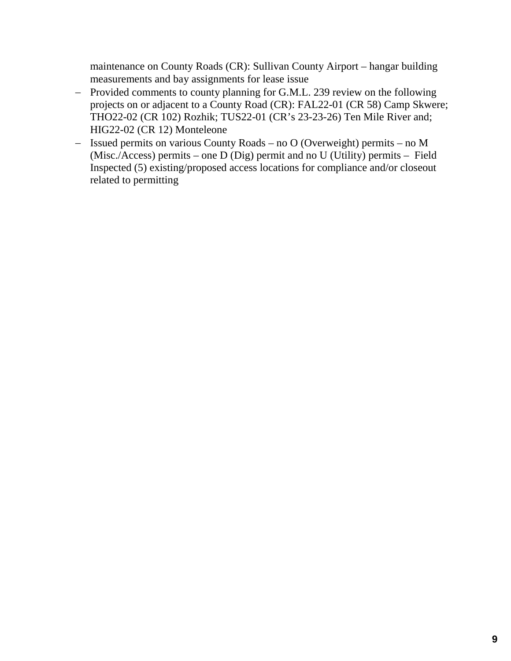maintenance on County Roads (CR): Sullivan County Airport – hangar building measurements and bay assignments for lease issue

- − Provided comments to county planning for G.M.L. 239 review on the following projects on or adjacent to a County Road (CR): FAL22-01 (CR 58) Camp Skwere; THO22-02 (CR 102) Rozhik; TUS22-01 (CR's 23-23-26) Ten Mile River and; HIG22-02 (CR 12) Monteleone
- − Issued permits on various County Roads no O (Overweight) permits no M (Misc./Access) permits – one D (Dig) permit and no U (Utility) permits – Field Inspected (5) existing/proposed access locations for compliance and/or closeout related to permitting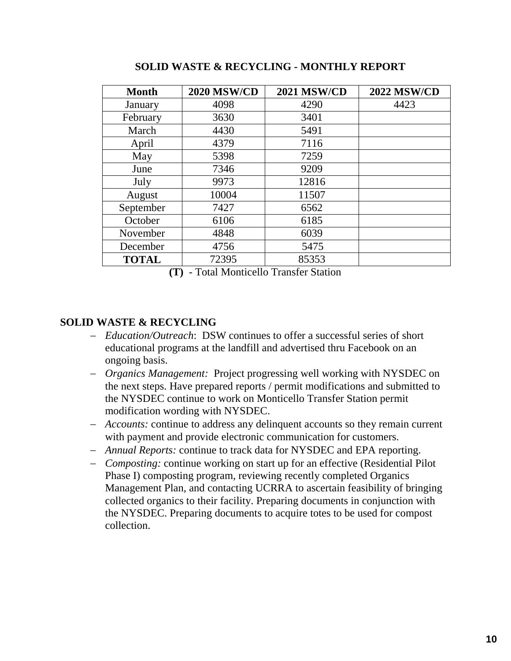| <b>Month</b> | <b>2020 MSW/CD</b> | <b>2021 MSW/CD</b> | <b>2022 MSW/CD</b> |
|--------------|--------------------|--------------------|--------------------|
| January      | 4098               | 4290               | 4423               |
| February     | 3630               | 3401               |                    |
| March        | 4430               | 5491               |                    |
| April        | 4379               | 7116               |                    |
| May          | 5398               | 7259               |                    |
| June         | 7346               | 9209               |                    |
| July         | 9973               | 12816              |                    |
| August       | 10004              | 11507              |                    |
| September    | 7427               | 6562               |                    |
| October      | 6106               | 6185               |                    |
| November     | 4848               | 6039               |                    |
| December     | 4756               | 5475               |                    |
| <b>TOTAL</b> | 72395              | 85353              |                    |

**SOLID WASTE & RECYCLING - MONTHLY REPORT**

**(T)** - Total Monticello Transfer Station

## **SOLID WASTE & RECYCLING**

- − *Education/Outreach*: DSW continues to offer a successful series of short educational programs at the landfill and advertised thru Facebook on an ongoing basis.
- − *Organics Management:* Project progressing well working with NYSDEC on the next steps. Have prepared reports / permit modifications and submitted to the NYSDEC continue to work on Monticello Transfer Station permit modification wording with NYSDEC.
- − *Accounts:* continue to address any delinquent accounts so they remain current with payment and provide electronic communication for customers.
- − *Annual Reports:* continue to track data for NYSDEC and EPA reporting.
- − *Composting:* continue working on start up for an effective (Residential Pilot Phase I) composting program, reviewing recently completed Organics Management Plan, and contacting UCRRA to ascertain feasibility of bringing collected organics to their facility. Preparing documents in conjunction with the NYSDEC. Preparing documents to acquire totes to be used for compost collection.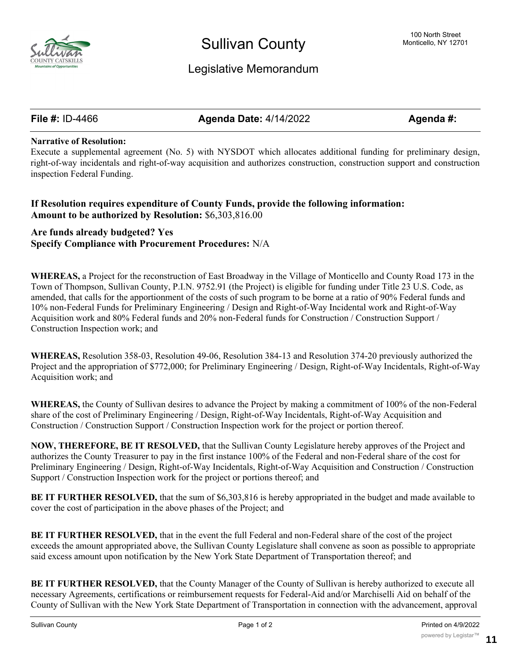

## Legislative Memorandum

**File #:** ID-4466 **Agenda Date:** 4/14/2022 **Agenda #:**

#### **Narrative of Resolution:**

Execute a supplemental agreement (No. 5) with NYSDOT which allocates additional funding for preliminary design, right-of-way incidentals and right-of-way acquisition and authorizes construction, construction support and construction inspection Federal Funding.

### **If Resolution requires expenditure of County Funds, provide the following information: Amount to be authorized by Resolution:** \$6,303,816.00

### **Are funds already budgeted? Yes Specify Compliance with Procurement Procedures:** N/A

**WHEREAS,** a Project for the reconstruction of East Broadway in the Village of Monticello and County Road 173 in the Town of Thompson, Sullivan County, P.I.N. 9752.91 (the Project) is eligible for funding under Title 23 U.S. Code, as amended, that calls for the apportionment of the costs of such program to be borne at a ratio of 90% Federal funds and 10% non-Federal Funds for Preliminary Engineering / Design and Right-of-Way Incidental work and Right-of-Way Acquisition work and 80% Federal funds and 20% non-Federal funds for Construction / Construction Support / Construction Inspection work; and

**WHEREAS,** Resolution 358-03, Resolution 49-06, Resolution 384-13 and Resolution 374-20 previously authorized the Project and the appropriation of \$772,000; for Preliminary Engineering / Design, Right-of-Way Incidentals, Right-of-Way Acquisition work; and

**WHEREAS,** the County of Sullivan desires to advance the Project by making a commitment of 100% of the non-Federal share of the cost of Preliminary Engineering / Design, Right-of-Way Incidentals, Right-of-Way Acquisition and Construction / Construction Support / Construction Inspection work for the project or portion thereof.

**NOW, THEREFORE, BE IT RESOLVED,** that the Sullivan County Legislature hereby approves of the Project and authorizes the County Treasurer to pay in the first instance 100% of the Federal and non-Federal share of the cost for Preliminary Engineering / Design, Right-of-Way Incidentals, Right-of-Way Acquisition and Construction / Construction Support / Construction Inspection work for the project or portions thereof; and

**BE IT FURTHER RESOLVED,** that the sum of \$6,303,816 is hereby appropriated in the budget and made available to cover the cost of participation in the above phases of the Project; and

**BE IT FURTHER RESOLVED,** that in the event the full Federal and non-Federal share of the cost of the project exceeds the amount appropriated above, the Sullivan County Legislature shall convene as soon as possible to appropriate said excess amount upon notification by the New York State Department of Transportation thereof; and

**BE IT FURTHER RESOLVED,** that the County Manager of the County of Sullivan is hereby authorized to execute all necessary Agreements, certifications or reimbursement requests for Federal-Aid and/or Marchiselli Aid on behalf of the County of Sullivan with the New York State Department of Transportation in connection with the advancement, approval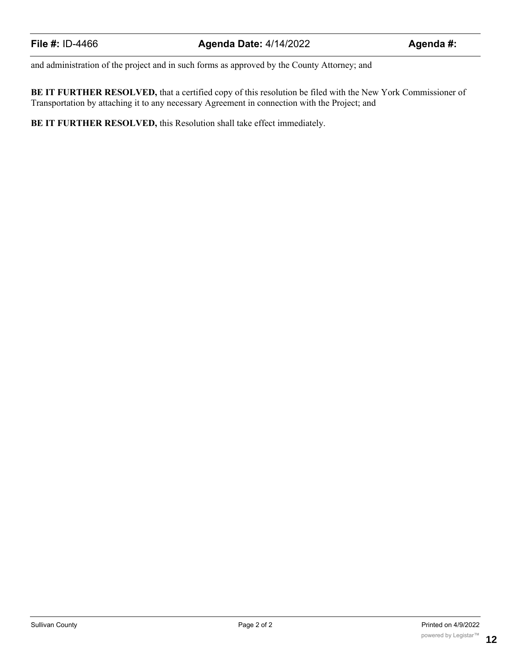and administration of the project and in such forms as approved by the County Attorney; and

**BE IT FURTHER RESOLVED,** that a certified copy of this resolution be filed with the New York Commissioner of Transportation by attaching it to any necessary Agreement in connection with the Project; and

**BE IT FURTHER RESOLVED,** this Resolution shall take effect immediately.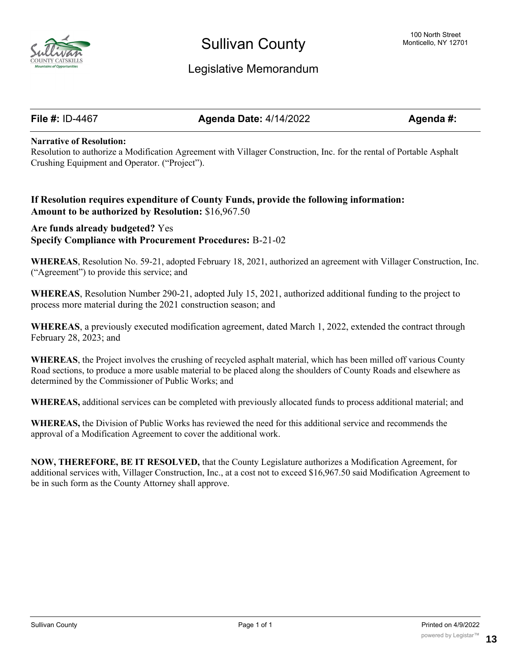

## Legislative Memorandum

**File #:** ID-4467 **Agenda Date:** 4/14/2022 **Agenda #:**

#### **Narrative of Resolution:**

Resolution to authorize a Modification Agreement with Villager Construction, Inc. for the rental of Portable Asphalt Crushing Equipment and Operator. ("Project").

### **If Resolution requires expenditure of County Funds, provide the following information: Amount to be authorized by Resolution:** \$16,967.50

### **Are funds already budgeted?** Yes **Specify Compliance with Procurement Procedures:** B-21-02

**WHEREAS**, Resolution No. 59-21, adopted February 18, 2021, authorized an agreement with Villager Construction, Inc. ("Agreement") to provide this service; and

**WHEREAS**, Resolution Number 290-21, adopted July 15, 2021, authorized additional funding to the project to process more material during the 2021 construction season; and

**WHEREAS**, a previously executed modification agreement, dated March 1, 2022, extended the contract through February 28, 2023; and

**WHEREAS**, the Project involves the crushing of recycled asphalt material, which has been milled off various County Road sections, to produce a more usable material to be placed along the shoulders of County Roads and elsewhere as determined by the Commissioner of Public Works; and

**WHEREAS,** additional services can be completed with previously allocated funds to process additional material; and

**WHEREAS,** the Division of Public Works has reviewed the need for this additional service and recommends the approval of a Modification Agreement to cover the additional work.

**NOW, THEREFORE, BE IT RESOLVED,** that the County Legislature authorizes a Modification Agreement, for additional services with, Villager Construction, Inc., at a cost not to exceed \$16,967.50 said Modification Agreement to be in such form as the County Attorney shall approve.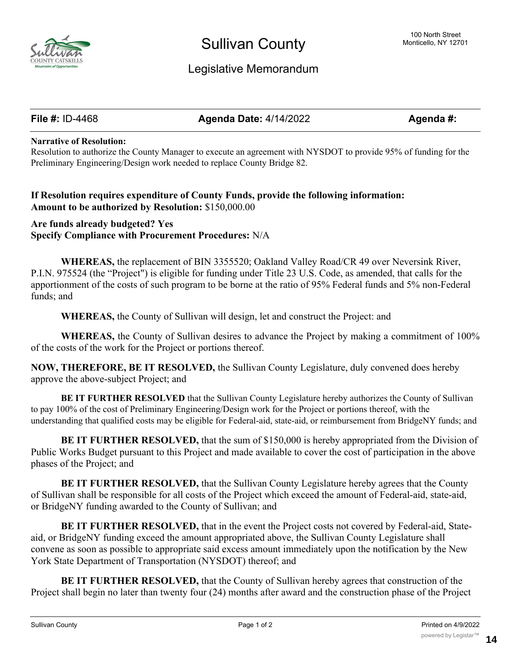

# Legislative Memorandum

**File #:** ID-4468 **Agenda Date:** 4/14/2022 **Agenda #:**

#### **Narrative of Resolution:**

Resolution to authorize the County Manager to execute an agreement with NYSDOT to provide 95% of funding for the Preliminary Engineering/Design work needed to replace County Bridge 82.

### **If Resolution requires expenditure of County Funds, provide the following information: Amount to be authorized by Resolution:** \$150,000.00

**Are funds already budgeted? Yes Specify Compliance with Procurement Procedures:** N/A

**WHEREAS,** the replacement of BIN 3355520; Oakland Valley Road/CR 49 over Neversink River, P.I.N. 975524 (the "Project") is eligible for funding under Title 23 U.S. Code, as amended, that calls for the apportionment of the costs of such program to be borne at the ratio of 95% Federal funds and 5% non-Federal funds; and

**WHEREAS,** the County of Sullivan will design, let and construct the Project: and

**WHEREAS,** the County of Sullivan desires to advance the Project by making a commitment of 100% of the costs of the work for the Project or portions thereof.

**NOW, THEREFORE, BE IT RESOLVED,** the Sullivan County Legislature, duly convened does hereby approve the above-subject Project; and

**BE IT FURTHER RESOLVED** that the Sullivan County Legislature hereby authorizes the County of Sullivan to pay 100% of the cost of Preliminary Engineering/Design work for the Project or portions thereof, with the understanding that qualified costs may be eligible for Federal-aid, state-aid, or reimbursement from BridgeNY funds; and

**BE IT FURTHER RESOLVED, that the sum of \$150,000 is hereby appropriated from the Division of** Public Works Budget pursuant to this Project and made available to cover the cost of participation in the above phases of the Project; and

**BE IT FURTHER RESOLVED,** that the Sullivan County Legislature hereby agrees that the County of Sullivan shall be responsible for all costs of the Project which exceed the amount of Federal-aid, state-aid, or BridgeNY funding awarded to the County of Sullivan; and

**BE IT FURTHER RESOLVED,** that in the event the Project costs not covered by Federal-aid, Stateaid, or BridgeNY funding exceed the amount appropriated above, the Sullivan County Legislature shall convene as soon as possible to appropriate said excess amount immediately upon the notification by the New York State Department of Transportation (NYSDOT) thereof; and

**BE IT FURTHER RESOLVED,** that the County of Sullivan hereby agrees that construction of the Project shall begin no later than twenty four (24) months after award and the construction phase of the Project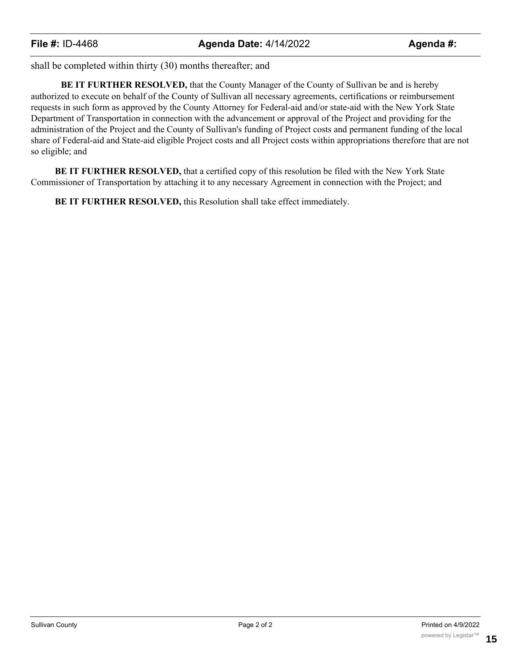shall be completed within thirty (30) months thereafter; and

**BE IT FURTHER RESOLVED,** that the County Manager of the County of Sullivan be and is hereby authorized to execute on behalf of the County of Sullivan all necessary agreements, certifications or reimbursement requests in such form as approved by the County Attorney for Federal-aid and/or state-aid with the New York State Department of Transportation in connection with the advancement or approval of the Project and providing for the administration of the Project and the County of Sullivan's funding of Project costs and permanent funding of the local share of Federal-aid and State-aid eligible Project costs and all Project costs within appropriations therefore that are not so eligible; and

**BE IT FURTHER RESOLVED,** that a certified copy of this resolution be filed with the New York State Commissioner of Transportation by attaching it to any necessary Agreement in connection with the Project; and

**BE IT FURTHER RESOLVED,** this Resolution shall take effect immediately.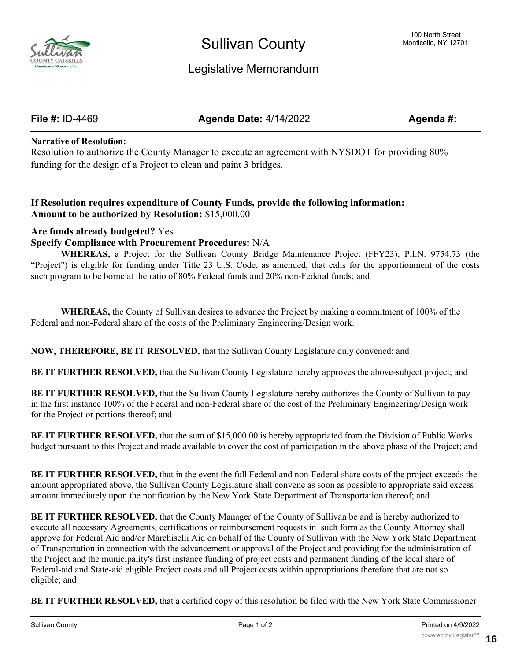

# Legislative Memorandum

**File #:** ID-4469 **Agenda Date:** 4/14/2022 **Agenda #:**

#### **Narrative of Resolution:**

Resolution to authorize the County Manager to execute an agreement with NYSDOT for providing 80% funding for the design of a Project to clean and paint 3 bridges.

### **If Resolution requires expenditure of County Funds, provide the following information: Amount to be authorized by Resolution:** \$15,000.00

#### **Are funds already budgeted?** Yes

#### **Specify Compliance with Procurement Procedures:** N/A

**WHEREAS,** a Project for the Sullivan County Bridge Maintenance Project (FFY23), P.I.N. 9754.73 (the "Project") is eligible for funding under Title 23 U.S. Code, as amended, that calls for the apportionment of the costs such program to be borne at the ratio of 80% Federal funds and 20% non-Federal funds; and

**WHEREAS,** the County of Sullivan desires to advance the Project by making a commitment of 100% of the Federal and non-Federal share of the costs of the Preliminary Engineering/Design work.

**NOW, THEREFORE, BE IT RESOLVED,** that the Sullivan County Legislature duly convened; and

**BE IT FURTHER RESOLVED,** that the Sullivan County Legislature hereby approves the above-subject project; and

**BE IT FURTHER RESOLVED,** that the Sullivan County Legislature hereby authorizes the County of Sullivan to pay in the first instance 100% of the Federal and non-Federal share of the cost of the Preliminary Engineering/Design work for the Project or portions thereof; and

**BE IT FURTHER RESOLVED,** that the sum of \$15,000.00 is hereby appropriated from the Division of Public Works budget pursuant to this Project and made available to cover the cost of participation in the above phase of the Project; and

**BE IT FURTHER RESOLVED,** that in the event the full Federal and non-Federal share costs of the project exceeds the amount appropriated above, the Sullivan County Legislature shall convene as soon as possible to appropriate said excess amount immediately upon the notification by the New York State Department of Transportation thereof; and

**BE IT FURTHER RESOLVED,** that the County Manager of the County of Sullivan be and is hereby authorized to execute all necessary Agreements, certifications or reimbursement requests in such form as the County Attorney shall approve for Federal Aid and/or Marchiselli Aid on behalf of the County of Sullivan with the New York State Department of Transportation in connection with the advancement or approval of the Project and providing for the administration of the Project and the municipality's first instance funding of project costs and permanent funding of the local share of Federal-aid and State-aid eligible Project costs and all Project costs within appropriations therefore that are not so eligible; and

**BE IT FURTHER RESOLVED,** that a certified copy of this resolution be filed with the New York State Commissioner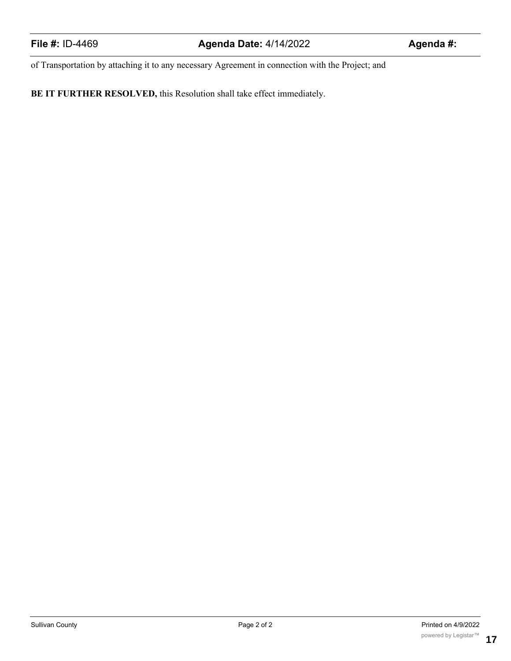of Transportation by attaching it to any necessary Agreement in connection with the Project; and

**BE IT FURTHER RESOLVED,** this Resolution shall take effect immediately.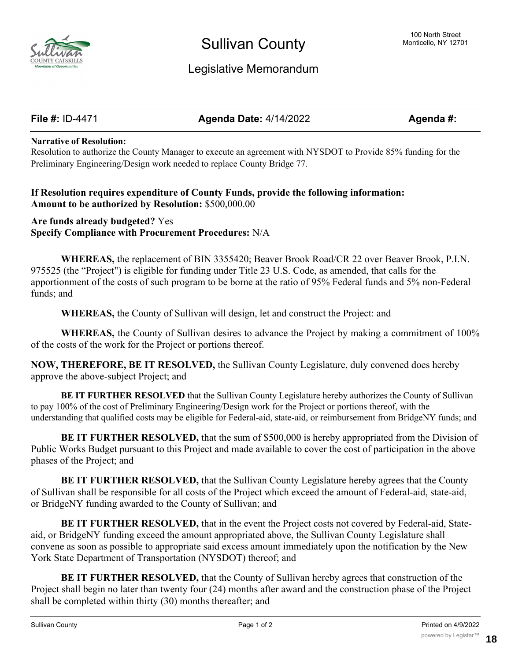

# Legislative Memorandum

**File #:** ID-4471 **Agenda Date:** 4/14/2022 **Agenda #:**

#### **Narrative of Resolution:**

Resolution to authorize the County Manager to execute an agreement with NYSDOT to Provide 85% funding for the Preliminary Engineering/Design work needed to replace County Bridge 77.

### **If Resolution requires expenditure of County Funds, provide the following information: Amount to be authorized by Resolution:** \$500,000.00

**Are funds already budgeted?** Yes **Specify Compliance with Procurement Procedures:** N/A

**WHEREAS,** the replacement of BIN 3355420; Beaver Brook Road/CR 22 over Beaver Brook, P.I.N. 975525 (the "Project") is eligible for funding under Title 23 U.S. Code, as amended, that calls for the apportionment of the costs of such program to be borne at the ratio of 95% Federal funds and 5% non-Federal funds; and

**WHEREAS,** the County of Sullivan will design, let and construct the Project: and

**WHEREAS,** the County of Sullivan desires to advance the Project by making a commitment of 100% of the costs of the work for the Project or portions thereof.

**NOW, THEREFORE, BE IT RESOLVED,** the Sullivan County Legislature, duly convened does hereby approve the above-subject Project; and

**BE IT FURTHER RESOLVED** that the Sullivan County Legislature hereby authorizes the County of Sullivan to pay 100% of the cost of Preliminary Engineering/Design work for the Project or portions thereof, with the understanding that qualified costs may be eligible for Federal-aid, state-aid, or reimbursement from BridgeNY funds; and

**BE IT FURTHER RESOLVED, that the sum of \$500,000 is hereby appropriated from the Division of** Public Works Budget pursuant to this Project and made available to cover the cost of participation in the above phases of the Project; and

**BE IT FURTHER RESOLVED, that the Sullivan County Legislature hereby agrees that the County** of Sullivan shall be responsible for all costs of the Project which exceed the amount of Federal-aid, state-aid, or BridgeNY funding awarded to the County of Sullivan; and

**BE IT FURTHER RESOLVED,** that in the event the Project costs not covered by Federal-aid, Stateaid, or BridgeNY funding exceed the amount appropriated above, the Sullivan County Legislature shall convene as soon as possible to appropriate said excess amount immediately upon the notification by the New York State Department of Transportation (NYSDOT) thereof; and

**BE IT FURTHER RESOLVED,** that the County of Sullivan hereby agrees that construction of the Project shall begin no later than twenty four (24) months after award and the construction phase of the Project shall be completed within thirty (30) months thereafter; and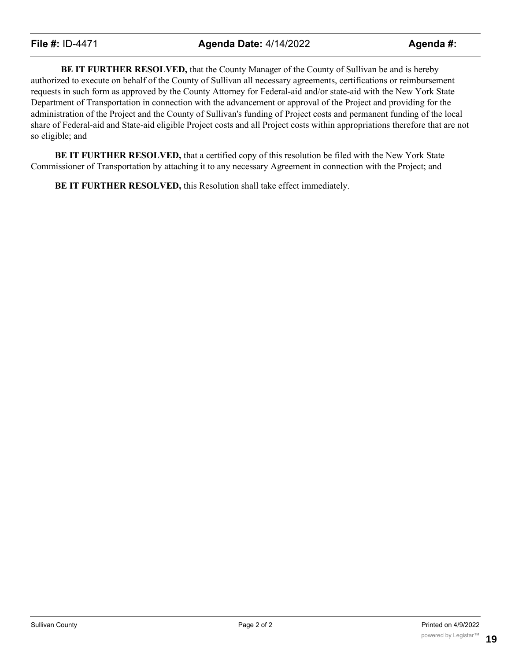**BE IT FURTHER RESOLVED,** that the County Manager of the County of Sullivan be and is hereby authorized to execute on behalf of the County of Sullivan all necessary agreements, certifications or reimbursement requests in such form as approved by the County Attorney for Federal-aid and/or state-aid with the New York State Department of Transportation in connection with the advancement or approval of the Project and providing for the administration of the Project and the County of Sullivan's funding of Project costs and permanent funding of the local share of Federal-aid and State-aid eligible Project costs and all Project costs within appropriations therefore that are not so eligible; and

**BE IT FURTHER RESOLVED,** that a certified copy of this resolution be filed with the New York State Commissioner of Transportation by attaching it to any necessary Agreement in connection with the Project; and

**BE IT FURTHER RESOLVED,** this Resolution shall take effect immediately.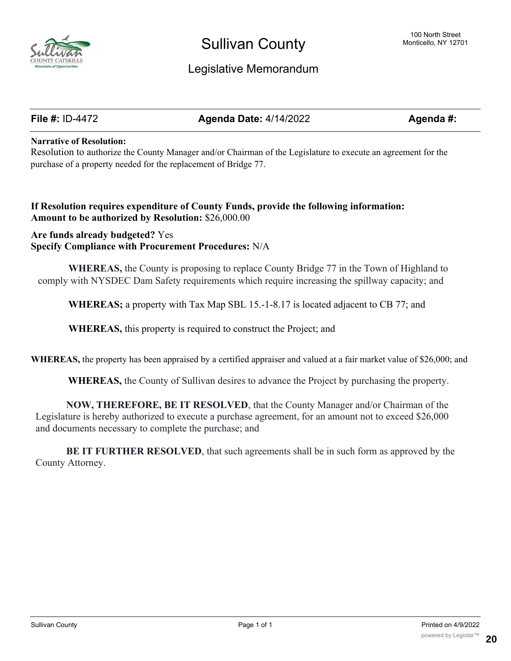

# Legislative Memorandum

**File #:** ID-4472 **Agenda Date:** 4/14/2022 **Agenda #:**

#### **Narrative of Resolution:**

Resolution to authorize the County Manager and/or Chairman of the Legislature to execute an agreement for the purchase of a property needed for the replacement of Bridge 77. **.**

### **If Resolution requires expenditure of County Funds, provide the following information: Amount to be authorized by Resolution:** \$26,000.00

**Are funds already budgeted?** Yes **Specify Compliance with Procurement Procedures:** N/A

**WHEREAS,** the County is proposing to replace County Bridge 77 in the Town of Highland to comply with NYSDEC Dam Safety requirements which require increasing the spillway capacity; and

**WHEREAS;** a property with Tax Map SBL 15.-1-8.17 is located adjacent to CB 77; and

**WHEREAS,** this property is required to construct the Project; and

**WHEREAS,** the property has been appraised by a certified appraiser and valued at a fair market value of \$26,000; and

**WHEREAS,** the County of Sullivan desires to advance the Project by purchasing the property.

**NOW, THEREFORE, BE IT RESOLVED**, that the County Manager and/or Chairman of the Legislature is hereby authorized to execute a purchase agreement, for an amount not to exceed \$26,000 and documents necessary to complete the purchase; and

**BE IT FURTHER RESOLVED**, that such agreements shall be in such form as approved by the County Attorney.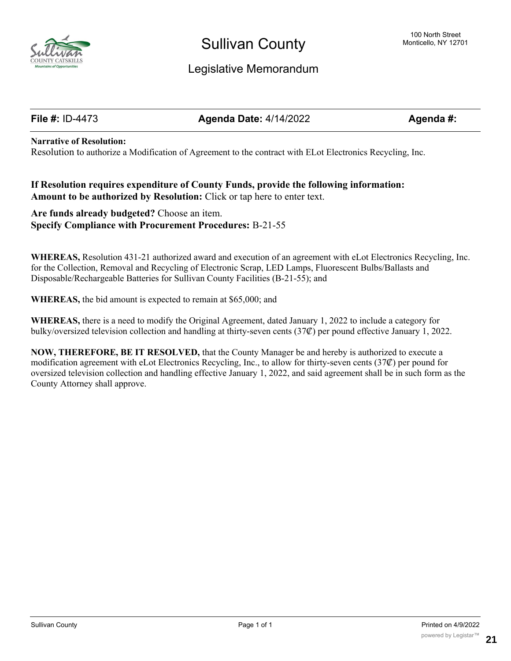

# Legislative Memorandum

**File #:** ID-4473 **Agenda Date:** 4/14/2022 **Agenda #:**

#### **Narrative of Resolution:**

Resolution to authorize a Modification of Agreement to the contract with ELot Electronics Recycling, Inc.

#### **If Resolution requires expenditure of County Funds, provide the following information: Amount to be authorized by Resolution:** Click or tap here to enter text.

**Are funds already budgeted?** Choose an item. **Specify Compliance with Procurement Procedures:** B-21-55

**WHEREAS,** Resolution 431-21 authorized award and execution of an agreement with eLot Electronics Recycling, Inc. for the Collection, Removal and Recycling of Electronic Scrap, LED Lamps, Fluorescent Bulbs/Ballasts and Disposable/Rechargeable Batteries for Sullivan County Facilities (B-21-55); and

**WHEREAS,** the bid amount is expected to remain at \$65,000; and

**WHEREAS,** there is a need to modify the Original Agreement, dated January 1, 2022 to include a category for bulky/oversized television collection and handling at thirty-seven cents (37₡) per pound effective January 1, 2022.

**NOW, THEREFORE, BE IT RESOLVED,** that the County Manager be and hereby is authorized to execute a modification agreement with eLot Electronics Recycling, Inc., to allow for thirty-seven cents (37₡) per pound for oversized television collection and handling effective January 1, 2022, and said agreement shall be in such form as the County Attorney shall approve.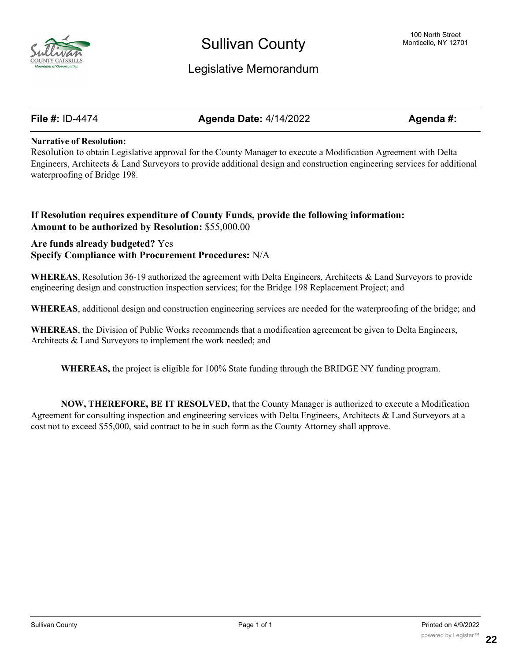

## Legislative Memorandum

**File #:** ID-4474 **Agenda Date:** 4/14/2022 **Agenda #:**

#### **Narrative of Resolution:**

Resolution to obtain Legislative approval for the County Manager to execute a Modification Agreement with Delta Engineers, Architects & Land Surveyors to provide additional design and construction engineering services for additional waterproofing of Bridge 198.

#### **If Resolution requires expenditure of County Funds, provide the following information: Amount to be authorized by Resolution:** \$55,000.00

### **Are funds already budgeted?** Yes **Specify Compliance with Procurement Procedures:** N/A

**WHEREAS**, Resolution 36-19 authorized the agreement with Delta Engineers, Architects & Land Surveyors to provide engineering design and construction inspection services; for the Bridge 198 Replacement Project; and

**WHEREAS**, additional design and construction engineering services are needed for the waterproofing of the bridge; and

**WHEREAS**, the Division of Public Works recommends that a modification agreement be given to Delta Engineers, Architects & Land Surveyors to implement the work needed; and

**WHEREAS,** the project is eligible for 100% State funding through the BRIDGE NY funding program.

**NOW, THEREFORE, BE IT RESOLVED,** that the County Manager is authorized to execute a Modification Agreement for consulting inspection and engineering services with Delta Engineers, Architects & Land Surveyors at a cost not to exceed \$55,000, said contract to be in such form as the County Attorney shall approve.